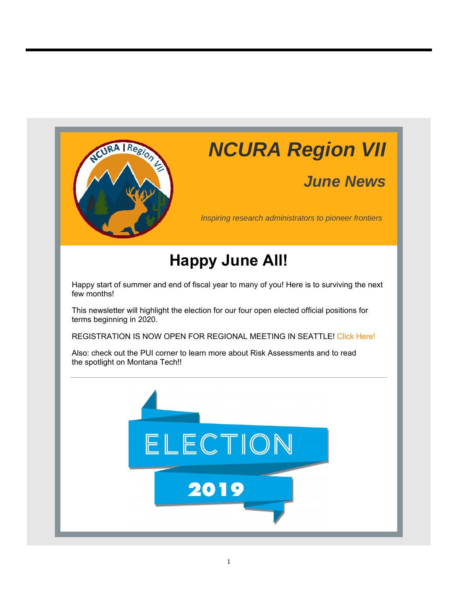

# *NCURA Region VII*

## *June News*

*Inspiring research administrators to pioneer frontiers*

## **Happy June All!**

Happy start of summer and end of fiscal year to many of you! Here is to surviving the next few months!

This newsletter will highlight the election for our four open elected official positions for terms beginning in 2020.

REGISTRATION IS NOW OPEN FOR REGIONAL MEETING IN SEATTLE! Click Here!

Also: check out the PUI corner to learn more about Risk Assessments and to read the spotlight on Montana Tech!!

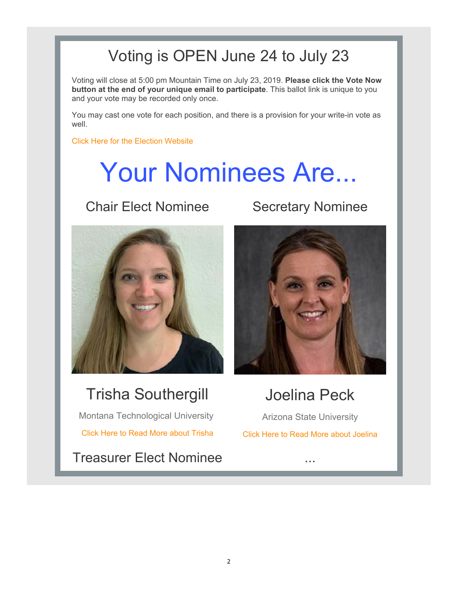## Voting is OPEN June 24 to July 23

Voting will close at 5:00 pm Mountain Time on July 23, 2019. **Please click the Vote Now button at the end of your unique email to participate**. This ballot link is unique to you and your vote may be recorded only once.

You may cast one vote for each position, and there is a provision for your write-in vote as well.

Click Here for the Election Website

# Your Nominees Are...

## **Chair Elect Nominee Secretary Nominee**



## Trisha Southergill

Montana Technological University Click Here to Read More about Trisha

Treasurer Elect Nominee ...



## Joelina Peck

Arizona State University Click Here to Read More about Joelina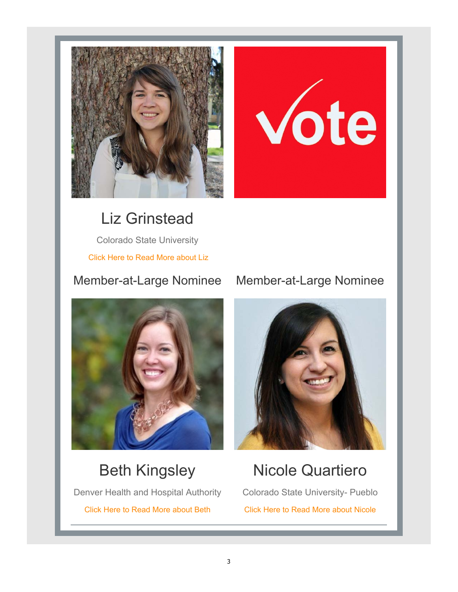

# Vote

Liz Grinstead Colorado State University Click Here to Read More about Liz



## Beth Kingsley

Denver Health and Hospital Authority Click Here to Read More about Beth

## Member-at-Large Nominee Member-at-Large Nominee



## Nicole Quartiero

Colorado State University- Pueblo Click Here to Read More about Nicole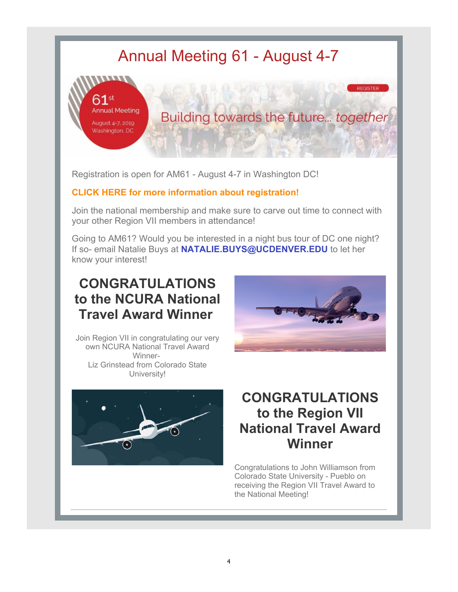## Annual Meeting 61 - August 4-7



Registration is open for AM61 - August 4-7 in Washington DC!

### **CLICK HERE for more information about registration!**

Join the national membership and make sure to carve out time to connect with your other Region VII members in attendance!

Going to AM61? Would you be interested in a night bus tour of DC one night? If so- email Natalie Buys at **NATALIE.BUYS@UCDENVER.EDU** to let her know your interest!

## **CONGRATULATIONS to the NCURA National Travel Award Winner**



**REGISTER** 

Join Region VII in congratulating our very own NCURA National Travel Award Winner-Liz Grinstead from Colorado State University!



## **CONGRATULATIONS to the Region VII National Travel Award Winner**

Congratulations to John Williamson from Colorado State University - Pueblo on receiving the Region VII Travel Award to the National Meeting!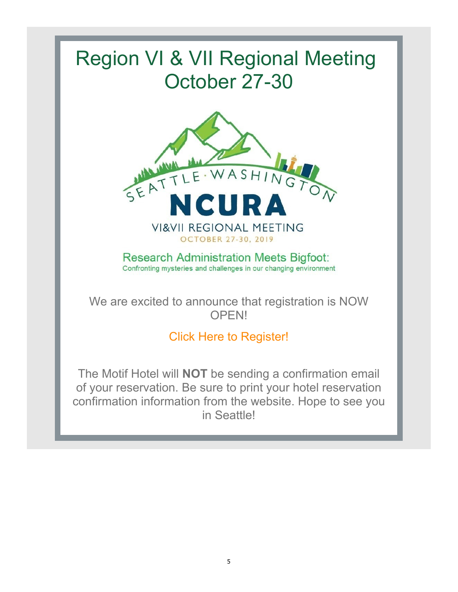# Region VI & VII Regional Meeting October 27-30



**Research Administration Meets Bigfoot:** Confronting mysteries and challenges in our changing environment

We are excited to announce that registration is NOW OPEN!

## Click Here to Register!

The Motif Hotel will **NOT** be sending a confirmation email of your reservation. Be sure to print your hotel reservation confirmation information from the website. Hope to see you in Seattle!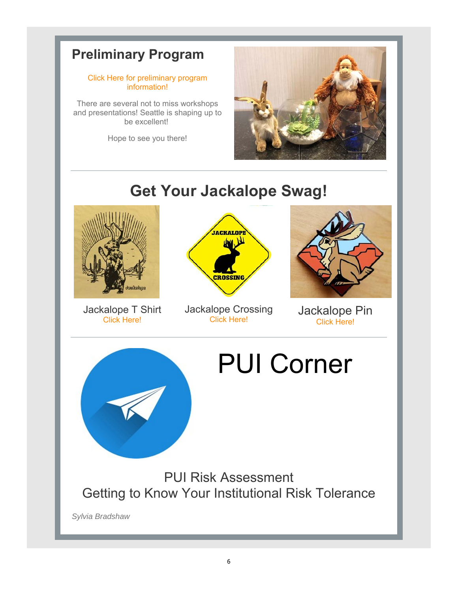## **Preliminary Program**

#### Click Here for preliminary program information!

There are several not to miss workshops and presentations! Seattle is shaping up to be excellent!

Hope to see you there!



## **Get Your Jackalope Swag!**



Jackalope T Shirt Click Here!



Jackalope Crossing Click Here!



Jackalope Pin Click Here!



# PUI Corner

PUI Risk Assessment Getting to Know Your Institutional Risk Tolerance

*Sylvia Bradshaw*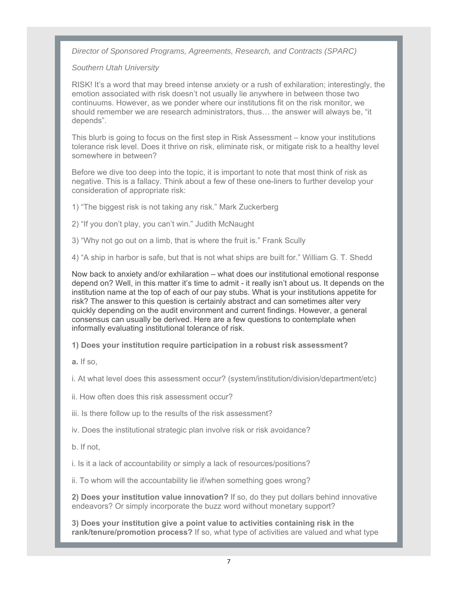*Director of Sponsored Programs, Agreements, Research, and Contracts (SPARC)*

#### *Southern Utah University*

RISK! It's a word that may breed intense anxiety or a rush of exhilaration; interestingly, the emotion associated with risk doesn't not usually lie anywhere in between those two continuums. However, as we ponder where our institutions fit on the risk monitor, we should remember we are research administrators, thus… the answer will always be, "it depends".

This blurb is going to focus on the first step in Risk Assessment – know your institutions tolerance risk level. Does it thrive on risk, eliminate risk, or mitigate risk to a healthy level somewhere in between?

Before we dive too deep into the topic, it is important to note that most think of risk as negative. This is a fallacy. Think about a few of these one-liners to further develop your consideration of appropriate risk:

1) "The biggest risk is not taking any risk." Mark Zuckerberg

2) "If you don't play, you can't win." Judith McNaught

3) "Why not go out on a limb, that is where the fruit is." Frank Scully

4) "A ship in harbor is safe, but that is not what ships are built for." William G. T. Shedd

Now back to anxiety and/or exhilaration – what does our institutional emotional response depend on? Well, in this matter it's time to admit - it really isn't about us. It depends on the institution name at the top of each of our pay stubs. What is your institutions appetite for risk? The answer to this question is certainly abstract and can sometimes alter very quickly depending on the audit environment and current findings. However, a general consensus can usually be derived. Here are a few questions to contemplate when informally evaluating institutional tolerance of risk.

**1) Does your institution require participation in a robust risk assessment?**

**a.** If so,

i. At what level does this assessment occur? (system/institution/division/department/etc)

ii. How often does this risk assessment occur?

iii. Is there follow up to the results of the risk assessment?

iv. Does the institutional strategic plan involve risk or risk avoidance?

b. If not,

i. Is it a lack of accountability or simply a lack of resources/positions?

ii. To whom will the accountability lie if/when something goes wrong?

**2) Does your institution value innovation?** If so, do they put dollars behind innovative endeavors? Or simply incorporate the buzz word without monetary support?

**3) Does your institution give a point value to activities containing risk in the rank/tenure/promotion process?** If so, what type of activities are valued and what type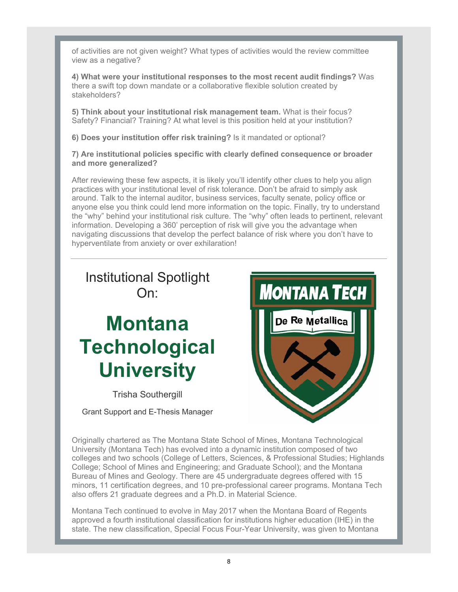of activities are not given weight? What types of activities would the review committee view as a negative?

**4) What were your institutional responses to the most recent audit findings?** Was there a swift top down mandate or a collaborative flexible solution created by stakeholders?

**5) Think about your institutional risk management team.** What is their focus? Safety? Financial? Training? At what level is this position held at your institution?

**6) Does your institution offer risk training?** Is it mandated or optional?

**7) Are institutional policies specific with clearly defined consequence or broader and more generalized?**

After reviewing these few aspects, it is likely you'll identify other clues to help you align practices with your institutional level of risk tolerance. Don't be afraid to simply ask around. Talk to the internal auditor, business services, faculty senate, policy office or anyone else you think could lend more information on the topic. Finally, try to understand the "why" behind your institutional risk culture. The "why" often leads to pertinent, relevant information. Developing a 360' perception of risk will give you the advantage when navigating discussions that develop the perfect balance of risk where you don't have to hyperventilate from anxiety or over exhilaration!

## Institutional Spotlight On:

# **Montana Technological University**

Trisha Southergill

Grant Support and E-Thesis Manager



Originally chartered as The Montana State School of Mines, Montana Technological University (Montana Tech) has evolved into a dynamic institution composed of two colleges and two schools (College of Letters, Sciences, & Professional Studies; Highlands College; School of Mines and Engineering; and Graduate School); and the Montana Bureau of Mines and Geology. There are 45 undergraduate degrees offered with 15 minors, 11 certification degrees, and 10 pre-professional career programs. Montana Tech also offers 21 graduate degrees and a Ph.D. in Material Science.

Montana Tech continued to evolve in May 2017 when the Montana Board of Regents approved a fourth institutional classification for institutions higher education (IHE) in the state. The new classification, Special Focus Four-Year University, was given to Montana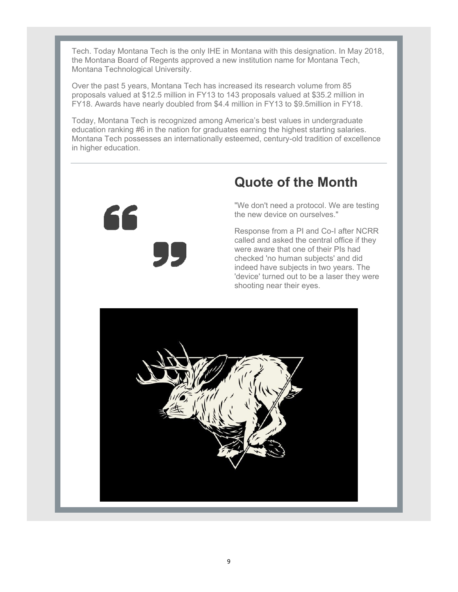Tech. Today Montana Tech is the only IHE in Montana with this designation. In May 2018, the Montana Board of Regents approved a new institution name for Montana Tech, Montana Technological University.

Over the past 5 years, Montana Tech has increased its research volume from 85 proposals valued at \$12.5 million in FY13 to 143 proposals valued at \$35.2 million in FY18. Awards have nearly doubled from \$4.4 million in FY13 to \$9.5million in FY18.

Today, Montana Tech is recognized among America's best values in undergraduate education ranking #6 in the nation for graduates earning the highest starting salaries. Montana Tech possesses an internationally esteemed, century-old tradition of excellence in higher education.



## **Quote of the Month**

"We don't need a protocol. We are testing the new device on ourselves."

Response from a PI and Co-I after NCRR called and asked the central office if they were aware that one of their PIs had checked 'no human subjects' and did indeed have subjects in two years. The 'device' turned out to be a laser they were shooting near their eyes.